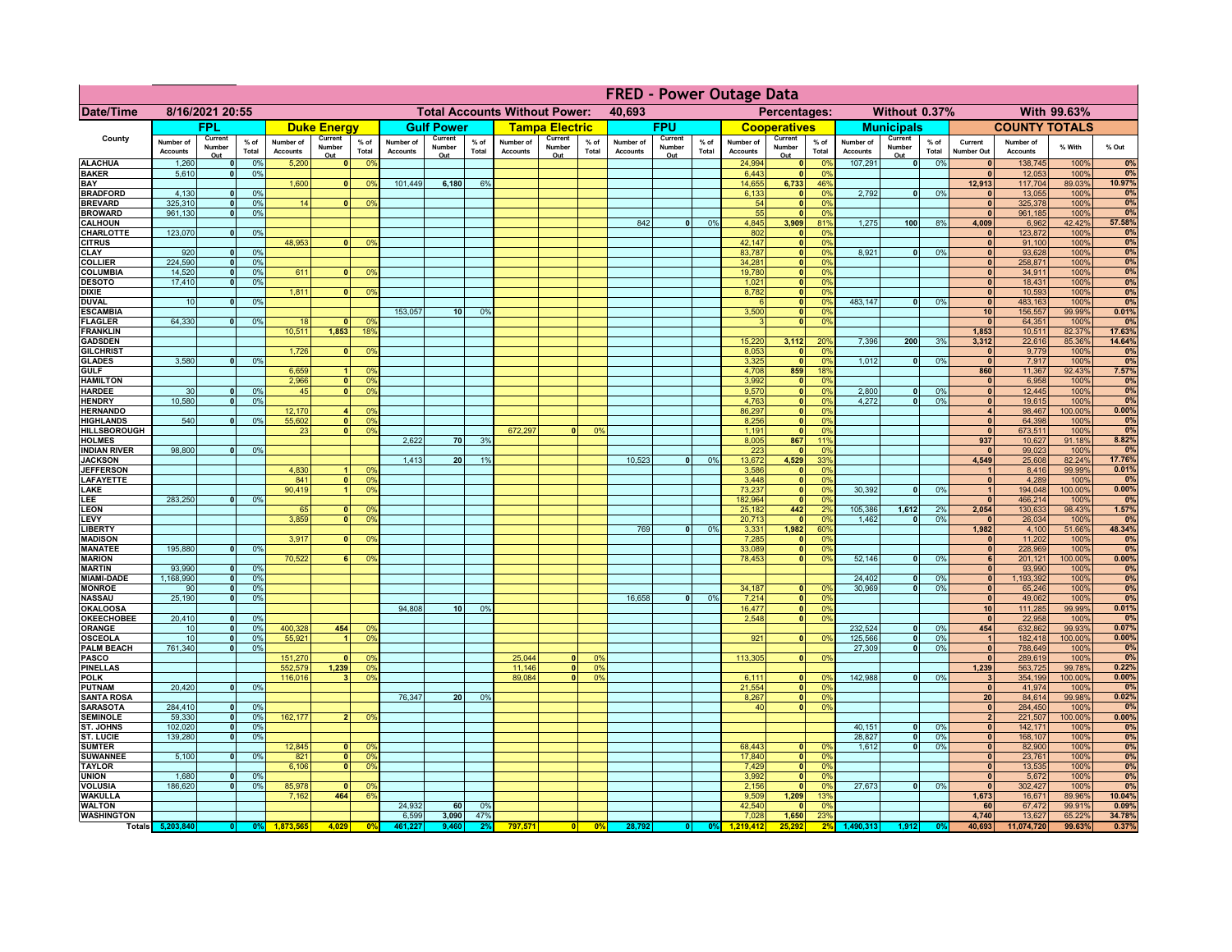|                                         |                              |                              |                 |                              |                              |                                  |                                                |                          |                 |                              |                          |                                              |                              |                          |                 | <b>FRED - Power Outage Data</b> |                            |                       |                              |                          |                 |                              |                              |                  |                 |
|-----------------------------------------|------------------------------|------------------------------|-----------------|------------------------------|------------------------------|----------------------------------|------------------------------------------------|--------------------------|-----------------|------------------------------|--------------------------|----------------------------------------------|------------------------------|--------------------------|-----------------|---------------------------------|----------------------------|-----------------------|------------------------------|--------------------------|-----------------|------------------------------|------------------------------|------------------|-----------------|
| Date/Time                               | 8/16/2021 20:55              |                              |                 |                              |                              |                                  | <b>Total Accounts Without Power:</b><br>40,693 |                          |                 |                              |                          | With 99.63%<br>Percentages:<br>Without 0.37% |                              |                          |                 |                                 |                            |                       |                              |                          |                 |                              |                              |                  |                 |
|                                         |                              | <b>FPL</b>                   |                 |                              | <b>Duke Energy</b>           |                                  |                                                | <b>Gulf Power</b>        |                 |                              | <b>Tampa Electric</b>    |                                              |                              | <b>FPU</b>               |                 |                                 | <b>Cooperatives</b>        |                       |                              | <b>Municipals</b>        |                 |                              | <b>COUNTY TOTALS</b>         |                  |                 |
| County                                  | Number of<br><b>Accounts</b> | Current<br>Number<br>Out     | $%$ of<br>Total | Number of<br><b>Accounts</b> | Current<br>Number<br>Out     | $%$ of<br>Total                  | Number of<br><b>Accounts</b>                   | Current<br>Number<br>Out | $%$ of<br>Total | Number of<br><b>Accounts</b> | Current<br>Number<br>Out | % of<br>Total                                | Number of<br><b>Accounts</b> | Current<br>Number<br>Out | $%$ of<br>Total | Number of<br><b>Accounts</b>    | Current<br>Number<br>Out   | $%$ of<br>Total       | Number of<br><b>Accounts</b> | Current<br>Number<br>Out | $%$ of<br>Total | Current<br>Number Out        | Number of<br><b>Accounts</b> | % With           | % Out           |
| <b>ALACHUA</b>                          | 1,260                        | $\mathbf{0}$                 | 0%              | 5,200                        | $\mathbf{0}$                 | 0%                               |                                                |                          |                 |                              |                          |                                              |                              |                          |                 | 24,994                          | 0                          | 0 <sup>9</sup>        | 107,291                      | 0                        | 0%              | $\mathbf{0}$                 | 138,745                      | 100%             | 0%              |
| <b>BAKER</b><br>BAY                     | 5,610                        | $\mathbf{0}$                 | 0%              | 1,600                        | $\mathbf{0}$                 | 0%                               | 101,449                                        | 6,180                    | 6%              |                              |                          |                                              |                              |                          |                 | 6.443<br>14,655                 | 0 <br>6,733                | 0%<br>46%             |                              |                          |                 | $\mathbf{0}$<br>12.913       | 12,053<br>117,704            | 100%<br>89.03%   | 0%<br>10.97%    |
| <b>BRADFORD</b>                         | 4.130                        | $\Omega$                     | 0%              |                              |                              |                                  |                                                |                          |                 |                              |                          |                                              |                              |                          |                 | 6,133                           | 0                          | 0%                    | 2.792                        | 0                        | 0%              | $\Omega$                     | 13,055                       | 100%             | 0%              |
| <b>BREVARD</b>                          | 325,310                      | $\Omega$                     | 0%              | 14                           |                              | 0 <sup>9</sup>                   |                                                |                          |                 |                              |                          |                                              |                              |                          |                 | 54                              | $\mathbf{0}$               | 0%                    |                              |                          |                 | $\mathbf{0}$                 | 325,378                      | 100%             | 0%              |
| <b>BROWARD</b>                          | 961.130                      | $\mathbf{0}$                 | 0%              |                              |                              |                                  |                                                |                          |                 |                              |                          |                                              |                              |                          |                 | 55                              | $\mathbf{0}$               | 0%                    |                              |                          |                 | $\mathbf{0}$                 | 961,185                      | 100%             | 0%              |
| <b>CALHOUN</b><br>CHARLOTTE             | 123,070                      | $\mathbf 0$                  | 0%              |                              |                              |                                  |                                                |                          |                 |                              |                          |                                              | 842                          | $\bullet$                | 0%              | 4,845<br>802                    | 3,909<br>$\mathbf{0}$      | 81%<br>0 <sup>9</sup> | 1,275                        | 100                      | 8%              | 4,009                        | 6,962<br>123,872             | 42.42%<br>100%   | 57.58%<br>0%    |
| <b>CITRUS</b>                           |                              |                              |                 | 48,953                       |                              | 0 <sup>9</sup>                   |                                                |                          |                 |                              |                          |                                              |                              |                          |                 | 42,147                          | 0                          | 0 <sup>9</sup>        |                              |                          |                 | $\mathbf{0}$                 | 91,100                       | 100%             | 0%              |
| <b>CLAY</b>                             | 920                          | $\mathbf{0}$                 | 0%              |                              |                              |                                  |                                                |                          |                 |                              |                          |                                              |                              |                          |                 | 83,787                          | 0                          | 0%                    | 8,921                        | 0                        | 0%              | $\mathbf{0}$                 | 93,628                       | 100%             | 0%              |
| <b>COLLIER</b>                          | 224,590                      | 0                            | 0%              |                              |                              |                                  |                                                |                          |                 |                              |                          |                                              |                              |                          |                 | 34,281<br>19,780                | 0                          | 0%                    |                              |                          |                 | $\mathbf{0}$                 | 258,871                      | 100%             | 0%              |
| <b>COLUMBIA</b><br><b>DESOTO</b>        | 14,520<br>17,410             | 0 <br>$\mathbf{0}$           | 0%<br>0%        | 611                          | $\Omega$                     | 0%                               |                                                |                          |                 |                              |                          |                                              |                              |                          |                 | 1,021                           | 0 <br>$\overline{\bullet}$ | 0%<br>0%              |                              |                          |                 | $\mathbf{0}$<br> 0           | 34,911<br>18,431             | 100%<br>100%     | 0%<br>0%        |
| <b>DIXIE</b>                            |                              |                              |                 | 1,811                        | $\Omega$                     | 0%                               |                                                |                          |                 |                              |                          |                                              |                              |                          |                 | 8,782                           | $\overline{\bullet}$       | 0%                    |                              |                          |                 | 0                            | 10,593                       | 100%             | 0%              |
| <b>DUVAL</b>                            | 10                           | $\mathbf{0}$                 | 0%              |                              |                              |                                  |                                                |                          |                 |                              |                          |                                              |                              |                          |                 | $\epsilon$                      | 0                          | 0%                    | 483.147                      | $\overline{0}$           | 0%              | 0                            | 483,163                      | 100%             | 0%              |
| <b>ESCAMBIA</b>                         | 64,330                       |                              | 0%              | 18                           | $\mathbf{r}$                 |                                  | 153,057                                        | 10 <sup>1</sup>          | 0%              |                              |                          |                                              |                              |                          |                 | 3,500<br>$\mathbf{R}$           | 0 <br> 0                   | 0%<br>0%              |                              |                          |                 | 10<br>$\mathbf{0}$           | 156,557                      | 99.99%           | 0.01%<br>0%     |
| <b>FLAGLER</b><br><b>FRANKLIN</b>       |                              | 0                            |                 | 10,511                       | 1,853                        | 0 <sup>9</sup><br>18%            |                                                |                          |                 |                              |                          |                                              |                              |                          |                 |                                 |                            |                       |                              |                          |                 | 1,853                        | 64,351<br>10,511             | 100%<br>82.37%   | 17.63%          |
| <b>GADSDEN</b>                          |                              |                              |                 |                              |                              |                                  |                                                |                          |                 |                              |                          |                                              |                              |                          |                 | 15,220                          | 3,112                      | 20%                   | 7,396                        | 200                      | 3%              | 3,312                        | 22,616                       | 85.36%           | 14.64%          |
| <b>GILCHRIST</b>                        |                              |                              |                 | 1,726                        | $\mathbf{0}$                 | 0 <sup>9</sup>                   |                                                |                          |                 |                              |                          |                                              |                              |                          |                 | 8,053                           | 0                          | 0 <sup>9</sup>        |                              |                          |                 | $\mathbf{0}$                 | 9,779                        | 100%             | 0%              |
| <b>GLADES</b>                           | 3.580                        | 0                            | 0%              | 6,659                        | $\overline{1}$               | 0 <sup>9</sup>                   |                                                |                          |                 |                              |                          |                                              |                              |                          |                 | 3,325                           | 0 <br>859                  | 0%<br>18%             | 1,012                        | $\overline{0}$           | 0%              | 0 <br>860                    | 7,917                        | 100%<br>92.43%   | 0%<br>7.57%     |
| <b>GULF</b><br><b>HAMILTON</b>          |                              |                              |                 | 2,966                        | $\overline{\mathbf{0}}$      | 0 <sup>9</sup>                   |                                                |                          |                 |                              |                          |                                              |                              |                          |                 | 4,708<br>3,992                  | 0                          | 0%                    |                              |                          |                 | $\mathbf{0}$                 | 11,367<br>6,958              | 100%             | 0%              |
| <b>HARDEE</b>                           | 30                           | $\Omega$                     | 0 <sup>9</sup>  | 45                           | ٥I                           | 0 <sup>9</sup>                   |                                                |                          |                 |                              |                          |                                              |                              |                          |                 | 9,570                           | 0                          | 0%                    | 2.800                        | $\mathbf{0}$             | 0%              | 0                            | 12,445                       | 100%             | 0%              |
| <b>HENDRY</b>                           | 10,580                       | $\mathbf{0}$                 | 0%              |                              |                              |                                  |                                                |                          |                 |                              |                          |                                              |                              |                          |                 | 4,763                           | 0                          | 0%                    | 4,272                        | $\Omega$                 | 0%              | 0                            | 19,615                       | 100%             | 0%              |
| <b>HERNANDO</b>                         | 540                          |                              | 0%              | 12,170                       | $\mathbf{0}$                 | 0 <sup>9</sup>                   |                                                |                          |                 |                              |                          |                                              |                              |                          |                 | 86,297                          | 0                          | 0%                    |                              |                          |                 | $\overline{4}$<br> 0         | 98,467                       | 100.00%          | 0.00%<br>0%     |
| <b>HIGHLANDS</b><br><b>HILLSBOROUGH</b> |                              |                              |                 | 55,602<br>23                 | $\mathbf{0}$                 | 0 <sup>9</sup><br>0 <sup>9</sup> |                                                |                          |                 | 672.297                      | $\mathbf{0}$             | 0 <sup>9</sup>                               |                              |                          |                 | 8,256<br>1,191                  | 0 <br>$\mathbf{0}$         | 0%<br>0%              |                              |                          |                 | $\mathbf{0}$                 | 64,398<br>673,511            | 100%<br>100%     | 0%              |
| <b>HOLMES</b>                           |                              |                              |                 |                              |                              |                                  | 2,622                                          | 70                       | 3%              |                              |                          |                                              |                              |                          |                 | 8.005                           | 867                        | 11%                   |                              |                          |                 | 937                          | 10,627                       | 91.18%           | 8.82%           |
| <b>INDIAN RIVER</b>                     | 98,800                       |                              | 0%              |                              |                              |                                  |                                                |                          |                 |                              |                          |                                              |                              |                          |                 | 223                             | 0                          | 0%                    |                              |                          |                 | $\mathbf{0}$                 | 99,023                       | 100%             | 0%              |
| <b>JACKSON</b>                          |                              |                              |                 | 4,830                        |                              | 0 <sup>9</sup>                   | 1.413                                          | 20                       | 1%              |                              |                          |                                              | 10,523                       | $\Omega$                 | 0%              | 13,672<br>3,586                 | 4,529<br>$\mathbf{0}$      | 33%<br>0%             |                              |                          |                 | 4,549<br>$\overline{1}$      | 25,608                       | 82.24%           | 17.76%<br>0.01% |
| <b>JEFFERSON</b><br><b>LAFAYETTE</b>    |                              |                              |                 | 841                          | $\overline{0}$               | 0 <sup>9</sup>                   |                                                |                          |                 |                              |                          |                                              |                              |                          |                 | 3,448                           | $\mathbf{0}$               | 0%                    |                              |                          |                 | 0                            | 8,416<br>4,289               | 99.99%<br>100%   | 0%              |
| LAKE                                    |                              |                              |                 | 90,419                       | $\blacksquare$               | 0 <sup>9</sup>                   |                                                |                          |                 |                              |                          |                                              |                              |                          |                 | 73,237                          | $\mathbf{0}$               | 0%                    | 30,392                       | $\overline{0}$           | 0%              | $\overline{1}$               | 194,048                      | 100.00%          | 0.00%           |
| LEE                                     | 283,250                      | $\Omega$                     | 0%              |                              |                              |                                  |                                                |                          |                 |                              |                          |                                              |                              |                          |                 | 182,964                         | 0                          | 0%                    |                              |                          |                 | 0                            | 466,214                      | 100%             | 0%              |
| <b>LEON</b><br>LEVY                     |                              |                              |                 | 65<br>3,859                  | $\Omega$<br>$\mathbf{0}$     | 0 <sup>9</sup><br>0 <sup>9</sup> |                                                |                          |                 |                              |                          |                                              |                              |                          |                 | 25,182<br>20,713                | 442<br> 0                  | 2%<br>0%              | 105,386<br>1,462             | 1,612<br>$\mathbf{0}$    | 2%<br>0%        | 2,054<br>$\mathbf{0}$        | 130,633<br>26,034            | 98.43%<br>100%   | 1.57%<br>0%     |
| <b>LIBERTY</b>                          |                              |                              |                 |                              |                              |                                  |                                                |                          |                 |                              |                          |                                              | 769                          | 0                        | 0%              | 3,331                           | 1,982                      | 60%                   |                              |                          |                 | 1,982                        | 4,100                        | 51.66%           | 48.34%          |
| <b>MADISON</b>                          |                              |                              |                 | 3,917                        | $\Omega$                     | 0%                               |                                                |                          |                 |                              |                          |                                              |                              |                          |                 | 7,285                           | 0                          | 0%                    |                              |                          |                 | 0                            | 11,202                       | 100%             | 0%              |
| <b>MANATEE</b>                          | 195,880                      | 0                            | 0%              |                              |                              |                                  |                                                |                          |                 |                              |                          |                                              |                              |                          |                 | 33,089                          | 0                          | 0%                    |                              |                          |                 | 0                            | 228,969                      | 100%             | 0%              |
| <b>MARION</b><br><b>MARTIN</b>          | 93.990                       | $\Omega$                     | 0%              | 70,522                       | 61                           | 0%                               |                                                |                          |                 |                              |                          |                                              |                              |                          |                 | 78,453                          | 0                          | 0%                    | 52,146                       | -ol                      | 0%              | 6<br> 0                      | 201,121<br>93,990            | 100.00%<br>100%  | 0.00%<br>0%     |
| <b>MIAMI-DADE</b>                       | 1,168,990                    | 0                            | 0%              |                              |                              |                                  |                                                |                          |                 |                              |                          |                                              |                              |                          |                 |                                 |                            |                       | 24,402                       | $\mathbf{0}$             | 0%              | 0                            | 1,193,392                    | 100%             | 0%              |
| <b>MONROE</b>                           | 90                           | - O I                        | 0%              |                              |                              |                                  |                                                |                          |                 |                              |                          |                                              |                              |                          |                 | 34,187                          | 0                          | $\Omega$ <sup>9</sup> | 30,969                       | 0                        | 0%              | 0                            | 65,246                       | 100%             | 0%              |
| <b>NASSAU</b>                           | 25,190                       | - O I                        | 0%              |                              |                              |                                  |                                                |                          |                 |                              |                          |                                              | 16,658                       | 0                        | 0%              | 7,214                           | 0                          | 0%                    |                              |                          |                 | 0                            | 49,062                       | 100%             | 0%              |
| <b>OKALOOSA</b><br><b>OKEECHOBEE</b>    | 20,410                       | $\Omega$                     | 0%              |                              |                              |                                  | 94,808                                         | 10                       | 0%              |                              |                          |                                              |                              |                          |                 | 16,477<br>2,548                 | 0 <br> 0                   | 0%<br>0%              |                              |                          |                 | 10<br> 0                     | 111,285<br>22,958            | 99.99%<br>100%   | 0.01%<br>0%     |
| <b>ORANGE</b>                           | 10                           | 0                            | 0%              | 400,328                      | 454                          | 0 <sup>9</sup>                   |                                                |                          |                 |                              |                          |                                              |                              |                          |                 |                                 |                            |                       | 232,524                      | -ol                      | 0%              | 454                          | 632,862                      | 99.93%           | 0.07%           |
| <b>OSCEOLA</b>                          | 10                           | 0                            | 0%              | 55,921                       | -1                           | 0 <sup>9</sup>                   |                                                |                          |                 |                              |                          |                                              |                              |                          |                 | 921                             | 0                          | 0%                    | 125,566                      | 0                        | 0%              | $\mathbf{1}$                 | 182,418                      | 100.00%          | 0.00%           |
| <b>PALM BEACH</b>                       | 761,340                      | 0                            | 0%              |                              |                              |                                  |                                                |                          |                 |                              |                          |                                              |                              |                          |                 |                                 |                            |                       | 27,309                       | $\overline{\phantom{0}}$ | 0%              | 0                            | 788,649                      | 100%             | 0%<br>0%        |
| <b>PASCO</b><br><b>PINELLAS</b>         |                              |                              |                 | 151,270<br>552,579           | $\Omega$<br>1,239            | 0 <sup>9</sup><br>0 <sup>9</sup> |                                                |                          |                 | 25,044<br>11,146             | $\Omega$<br>$\mathbf{0}$ | $\Omega$<br>0 <sup>9</sup>                   |                              |                          |                 | 113,305                         | 0                          | 0%                    |                              |                          |                 | 0 <br>1,239                  | 289,619<br>563,725           | 100%<br>99.78%   | 0.22%           |
| <b>POLK</b>                             |                              |                              |                 | 116,016                      | 3.                           | 0 <sup>9</sup>                   |                                                |                          |                 | 89,084                       | $\Omega$                 | 0 <sup>9</sup>                               |                              |                          |                 | 6,111                           | 0                          | $\Omega$ <sup>9</sup> | 142,988                      | 0                        | 0%              | 3                            | 354,199                      | 100.00%          | 0.00%           |
| <b>PUTNAM</b>                           | 20,420                       | $\mathbf{0}$                 | 0%              |                              |                              |                                  |                                                |                          |                 |                              |                          |                                              |                              |                          |                 | 21,554                          | 0                          | 0%                    |                              |                          |                 | $\mathbf{0}$                 | 41,974                       | 100%             | 0%              |
| <b>SANTA ROSA</b>                       |                              |                              |                 |                              |                              |                                  | 76,347                                         | 20 <sup>1</sup>          | 0%              |                              |                          |                                              |                              |                          |                 | 8,267                           | 0                          | 0%                    |                              |                          |                 | 20 <sup>1</sup>              | 84,614                       | 99.98%           | 0.02%           |
| <b>SARASOTA</b><br><b>SEMINOLE</b>      | 284,410<br>59,330            | $\mathbf{0}$<br>$\mathbf{0}$ | 0%<br>0%        | 162,177                      |                              | 0 <sup>9</sup>                   |                                                |                          |                 |                              |                          |                                              |                              |                          |                 | 40                              | 0                          | 0%                    |                              |                          |                 | 0 <br>2 <sup>1</sup>         | 284,450<br>221,507           | 100%<br>100.00%  | 0%<br>0.00%     |
| ST. JOHNS                               | 102,020                      | $\mathbf{0}$                 | 0%              |                              |                              |                                  |                                                |                          |                 |                              |                          |                                              |                              |                          |                 |                                 |                            |                       | 40,151                       | 0                        | 0%              | 0                            | 142,171                      | 100%             | 0%              |
| <b>ST. LUCIE</b>                        | 139,280                      | $\mathbf{0}$                 | 0%              |                              |                              |                                  |                                                |                          |                 |                              |                          |                                              |                              |                          |                 |                                 |                            |                       | 28,827                       | 0                        | 0%              | $\mathbf{0}$                 | 168,107                      | 100%             | 0%              |
| <b>SUMTER</b>                           | 5,100                        |                              |                 | 12,845                       |                              | 0 <sup>6</sup>                   |                                                |                          |                 |                              |                          |                                              |                              |                          |                 | 68,443                          | $\mathbf{0}$               | 0 <sup>9</sup>        | 1,612                        | $\overline{\phantom{0}}$ | 0%              | $\mathbf{0}$                 | 82,900                       | 100%             | 0%              |
| <b>SUWANNEE</b><br><b>TAYLOR</b>        |                              | $\mathbf{0}$                 | 0%              | 821<br>6,106                 | $\mathbf{0}$<br>$\mathbf{0}$ | 0 <sup>9</sup><br>0 <sup>9</sup> |                                                |                          |                 |                              |                          |                                              |                              |                          |                 | 17,840<br>7,429                 | 0 <br> 0                   | 0%<br>0%              |                              |                          |                 | $\mathbf{0}$<br>$\mathbf{0}$ | 23,761<br>13,535             | 100%<br>100%     | 0%<br>0%        |
| <b>UNION</b>                            | 1,680                        |                              | 0%              |                              |                              |                                  |                                                |                          |                 |                              |                          |                                              |                              |                          |                 | 3,992                           | 0                          | 0%                    |                              |                          |                 | $\mathbf{0}$                 | 5,672                        | 100%             | 0%              |
| <b>VOLUSIA</b>                          | 186,620                      |                              | 0%              | 85,978                       |                              | 0 <sup>9</sup>                   |                                                |                          |                 |                              |                          |                                              |                              |                          |                 | 2,156                           | $\mathbf{0}$               | 0%                    | 27,673                       | $\overline{0}$           | 0%              | $\mathbf{0}$                 | 302,427                      | 100%             | 0%              |
| <b>WAKULLA</b>                          |                              |                              |                 | 7,162                        | 464                          | 6%                               | 24,932                                         |                          |                 |                              |                          |                                              |                              |                          |                 | 9,509<br>42,540                 | 1,209                      | 13%<br>0%             |                              |                          |                 | 1,673                        | 16,671                       | 89.96%           | 10.04%          |
| <b>WALTON</b><br><b>WASHINGTON</b>      |                              |                              |                 |                              |                              |                                  | 6,599                                          | 60<br>3,090              | 0%<br>47%       |                              |                          |                                              |                              |                          |                 | 7,028                           | 0 <br>1,650                | 23%                   |                              |                          |                 | 60<br>4,740                  | 67,472<br>13,627             | 99.91%<br>65.22% | 0.09%<br>34.78% |
|                                         | Totals 5,203,840             |                              | 0%              |                              | 4,029                        | $\mathbf{0}$                     | 461.22                                         | 9.460                    |                 | 797,571                      | 0                        | 0 <sup>9</sup>                               | 28,792                       |                          | 0%              | 1.219.412                       |                            |                       | 1,490,313                    | 1,912                    |                 | 40,693                       | 11,074,720                   | 99.63%           | 0.37%           |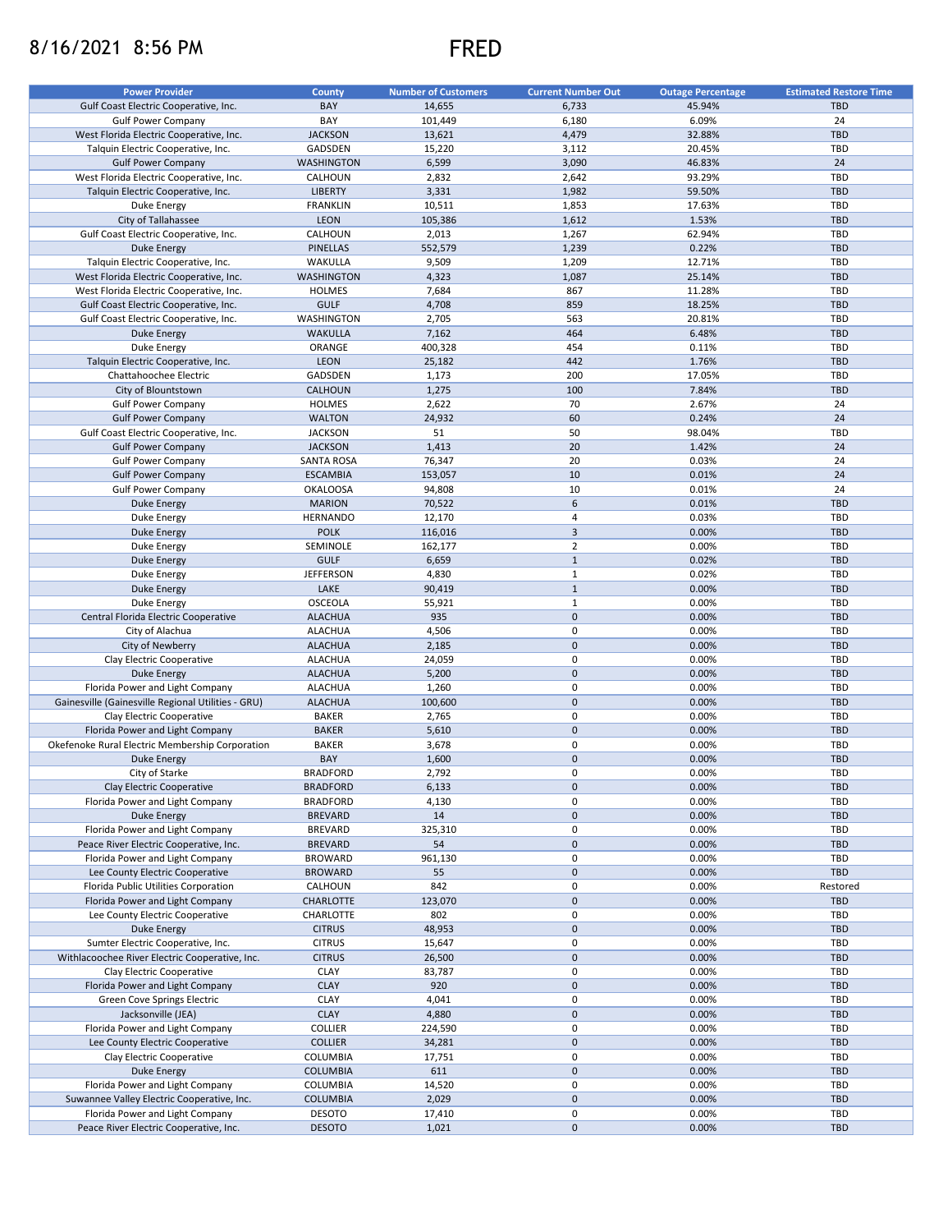## 8/16/2021 8:56 PM FRED



| <b>Power Provider</b>                              | <b>County</b>     | <b>Number of Customers</b> | <b>Current Number Out</b> | <b>Outage Percentage</b> | <b>Estimated Restore Time</b> |
|----------------------------------------------------|-------------------|----------------------------|---------------------------|--------------------------|-------------------------------|
|                                                    |                   |                            |                           |                          |                               |
| Gulf Coast Electric Cooperative, Inc.              | BAY               | 14,655                     | 6,733                     | 45.94%                   | <b>TBD</b>                    |
| <b>Gulf Power Company</b>                          | BAY               | 101,449                    | 6,180                     | 6.09%                    | 24                            |
| West Florida Electric Cooperative, Inc.            | <b>JACKSON</b>    | 13,621                     | 4,479                     | 32.88%                   | <b>TBD</b>                    |
| Talquin Electric Cooperative, Inc.                 | GADSDEN           | 15,220                     | 3,112                     | 20.45%                   | <b>TBD</b>                    |
| <b>Gulf Power Company</b>                          | <b>WASHINGTON</b> | 6,599                      | 3,090                     | 46.83%                   | 24                            |
| West Florida Electric Cooperative, Inc.            | CALHOUN           | 2,832                      | 2,642                     | 93.29%                   | TBD                           |
| Talquin Electric Cooperative, Inc.                 | <b>LIBERTY</b>    | 3,331                      | 1,982                     | 59.50%                   | <b>TBD</b>                    |
|                                                    |                   |                            |                           |                          |                               |
| Duke Energy                                        | <b>FRANKLIN</b>   | 10,511                     | 1,853                     | 17.63%                   | TBD                           |
| City of Tallahassee                                | <b>LEON</b>       | 105,386                    | 1,612                     | 1.53%                    | <b>TBD</b>                    |
| Gulf Coast Electric Cooperative, Inc.              | CALHOUN           | 2,013                      | 1,267                     | 62.94%                   | TBD                           |
| Duke Energy                                        | <b>PINELLAS</b>   | 552,579                    | 1,239                     | 0.22%                    | <b>TBD</b>                    |
| Talquin Electric Cooperative, Inc.                 | WAKULLA           | 9,509                      | 1,209                     | 12.71%                   | TBD                           |
| West Florida Electric Cooperative, Inc.            | <b>WASHINGTON</b> | 4,323                      | 1,087                     | 25.14%                   | <b>TBD</b>                    |
|                                                    |                   |                            |                           |                          |                               |
| West Florida Electric Cooperative, Inc.            | <b>HOLMES</b>     | 7,684                      | 867                       | 11.28%                   | TBD                           |
| Gulf Coast Electric Cooperative, Inc.              | <b>GULF</b>       | 4,708                      | 859                       | 18.25%                   | <b>TBD</b>                    |
| Gulf Coast Electric Cooperative, Inc.              | WASHINGTON        | 2,705                      | 563                       | 20.81%                   | TBD                           |
| <b>Duke Energy</b>                                 | <b>WAKULLA</b>    | 7,162                      | 464                       | 6.48%                    | <b>TBD</b>                    |
| Duke Energy                                        | ORANGE            | 400,328                    | 454                       | 0.11%                    | TBD                           |
|                                                    |                   |                            | 442                       |                          | <b>TBD</b>                    |
| Talquin Electric Cooperative, Inc.                 | LEON              | 25,182                     |                           | 1.76%                    |                               |
| Chattahoochee Electric                             | GADSDEN           | 1,173                      | 200                       | 17.05%                   | TBD                           |
| City of Blountstown                                | <b>CALHOUN</b>    | 1,275                      | 100                       | 7.84%                    | <b>TBD</b>                    |
| <b>Gulf Power Company</b>                          | <b>HOLMES</b>     | 2,622                      | 70                        | 2.67%                    | 24                            |
| <b>Gulf Power Company</b>                          | <b>WALTON</b>     | 24,932                     | 60                        | 0.24%                    | 24                            |
|                                                    | <b>JACKSON</b>    | 51                         | 50                        | 98.04%                   | TBD                           |
| Gulf Coast Electric Cooperative, Inc.              |                   |                            |                           |                          |                               |
| <b>Gulf Power Company</b>                          | <b>JACKSON</b>    | 1,413                      | 20                        | 1.42%                    | 24                            |
| <b>Gulf Power Company</b>                          | <b>SANTA ROSA</b> | 76,347                     | 20                        | 0.03%                    | 24                            |
| <b>Gulf Power Company</b>                          | <b>ESCAMBIA</b>   | 153,057                    | 10                        | 0.01%                    | 24                            |
| <b>Gulf Power Company</b>                          | <b>OKALOOSA</b>   | 94,808                     | 10                        | 0.01%                    | 24                            |
| Duke Energy                                        | <b>MARION</b>     | 70,522                     | 6                         | 0.01%                    | <b>TBD</b>                    |
|                                                    |                   |                            |                           |                          |                               |
| Duke Energy                                        | <b>HERNANDO</b>   | 12,170                     | 4                         | 0.03%                    | TBD                           |
| <b>Duke Energy</b>                                 | <b>POLK</b>       | 116,016                    | $\mathbf{3}$              | 0.00%                    | <b>TBD</b>                    |
| Duke Energy                                        | SEMINOLE          | 162,177                    | $\overline{2}$            | 0.00%                    | TBD                           |
| <b>Duke Energy</b>                                 | <b>GULF</b>       | 6,659                      | $\mathbf{1}$              | 0.02%                    | <b>TBD</b>                    |
| Duke Energy                                        | <b>JEFFERSON</b>  | 4,830                      | $\mathbf{1}$              | 0.02%                    | TBD                           |
|                                                    |                   |                            | $\mathbf{1}$              |                          |                               |
| <b>Duke Energy</b>                                 | LAKE              | 90,419                     |                           | 0.00%                    | <b>TBD</b>                    |
| Duke Energy                                        | OSCEOLA           | 55,921                     | $\mathbf{1}$              | 0.00%                    | TBD                           |
| Central Florida Electric Cooperative               | <b>ALACHUA</b>    | 935                        | $\mathbf 0$               | 0.00%                    | <b>TBD</b>                    |
| City of Alachua                                    | <b>ALACHUA</b>    | 4,506                      | 0                         | 0.00%                    | TBD                           |
| City of Newberry                                   | <b>ALACHUA</b>    | 2,185                      | $\mathbf 0$               | 0.00%                    | <b>TBD</b>                    |
| Clay Electric Cooperative                          | <b>ALACHUA</b>    | 24,059                     | 0                         | 0.00%                    | TBD                           |
|                                                    |                   |                            |                           |                          |                               |
| <b>Duke Energy</b>                                 | <b>ALACHUA</b>    | 5,200                      | $\mathbf 0$               | 0.00%                    | <b>TBD</b>                    |
| Florida Power and Light Company                    | <b>ALACHUA</b>    | 1,260                      | 0                         | 0.00%                    | TBD                           |
| Gainesville (Gainesville Regional Utilities - GRU) | <b>ALACHUA</b>    | 100,600                    | $\mathbf 0$               | 0.00%                    | <b>TBD</b>                    |
| Clay Electric Cooperative                          | <b>BAKER</b>      | 2,765                      | $\pmb{0}$                 | 0.00%                    | TBD                           |
| Florida Power and Light Company                    | <b>BAKER</b>      | 5,610                      | $\mathbf 0$               | 0.00%                    | <b>TBD</b>                    |
|                                                    |                   |                            |                           |                          |                               |
| Okefenoke Rural Electric Membership Corporation    | <b>BAKER</b>      | 3,678                      | 0                         | 0.00%                    | TBD                           |
| Duke Energy                                        | BAY               | 1,600                      | $\mathbf 0$               | 0.00%                    | <b>TBD</b>                    |
| City of Starke                                     | <b>BRADFORD</b>   | 2,792                      | $\mathbf 0$               | 0.00%                    | TBD                           |
| Clay Electric Cooperative                          | <b>BRADFORD</b>   | 6,133                      | $\mathbf 0$               | 0.00%                    | <b>TBD</b>                    |
| Florida Power and Light Company                    | <b>BRADFORD</b>   | 4,130                      | 0                         | 0.00%                    | TBD                           |
| Duke Energy                                        | <b>BREVARD</b>    | 14                         | $\mathbf 0$               | 0.00%                    | <b>TBD</b>                    |
|                                                    |                   |                            |                           |                          |                               |
| Florida Power and Light Company                    | <b>BREVARD</b>    | 325,310                    | 0                         | 0.00%                    | TBD                           |
| Peace River Electric Cooperative, Inc.             | <b>BREVARD</b>    | 54                         | $\mathbf 0$               | 0.00%                    | <b>TBD</b>                    |
| Florida Power and Light Company                    | <b>BROWARD</b>    | 961,130                    | 0                         | 0.00%                    | TBD                           |
| Lee County Electric Cooperative                    | <b>BROWARD</b>    | 55                         | $\mathbf 0$               | 0.00%                    | TBD                           |
| Florida Public Utilities Corporation               | CALHOUN           | 842                        | 0                         | 0.00%                    | Restored                      |
| Florida Power and Light Company                    | <b>CHARLOTTE</b>  | 123,070                    | $\mathbf 0$               | 0.00%                    | <b>TBD</b>                    |
|                                                    |                   |                            |                           |                          |                               |
| Lee County Electric Cooperative                    | CHARLOTTE         | 802                        | 0                         | 0.00%                    | TBD                           |
| Duke Energy                                        | <b>CITRUS</b>     | 48,953                     | $\mathbf 0$               | 0.00%                    | <b>TBD</b>                    |
| Sumter Electric Cooperative, Inc.                  | <b>CITRUS</b>     | 15,647                     | 0                         | 0.00%                    | TBD                           |
| Withlacoochee River Electric Cooperative, Inc.     | <b>CITRUS</b>     | 26,500                     | $\mathbf 0$               | 0.00%                    | <b>TBD</b>                    |
| Clay Electric Cooperative                          | CLAY              | 83,787                     | 0                         | 0.00%                    | TBD                           |
| Florida Power and Light Company                    | <b>CLAY</b>       | 920                        | $\mathbf 0$               | 0.00%                    | <b>TBD</b>                    |
|                                                    |                   |                            |                           |                          |                               |
| Green Cove Springs Electric                        | CLAY              | 4,041                      | 0                         | 0.00%                    | TBD                           |
| Jacksonville (JEA)                                 | <b>CLAY</b>       | 4,880                      | $\mathbf 0$               | 0.00%                    | <b>TBD</b>                    |
| Florida Power and Light Company                    | <b>COLLIER</b>    | 224,590                    | 0                         | 0.00%                    | TBD                           |
| Lee County Electric Cooperative                    | <b>COLLIER</b>    | 34,281                     | $\mathbf 0$               | 0.00%                    | <b>TBD</b>                    |
| Clay Electric Cooperative                          | COLUMBIA          | 17,751                     | 0                         | 0.00%                    | TBD                           |
|                                                    |                   |                            |                           |                          |                               |
| <b>Duke Energy</b>                                 | <b>COLUMBIA</b>   | 611                        | $\pmb{0}$                 | 0.00%                    | <b>TBD</b>                    |
| Florida Power and Light Company                    | COLUMBIA          | 14,520                     | 0                         | 0.00%                    | TBD                           |
| Suwannee Valley Electric Cooperative, Inc.         | <b>COLUMBIA</b>   | 2,029                      | $\mathbf 0$               | 0.00%                    | <b>TBD</b>                    |
| Florida Power and Light Company                    | <b>DESOTO</b>     | 17,410                     | 0                         | 0.00%                    | TBD                           |
| Peace River Electric Cooperative, Inc.             | <b>DESOTO</b>     | 1,021                      | $\pmb{0}$                 | 0.00%                    | TBD                           |
|                                                    |                   |                            |                           |                          |                               |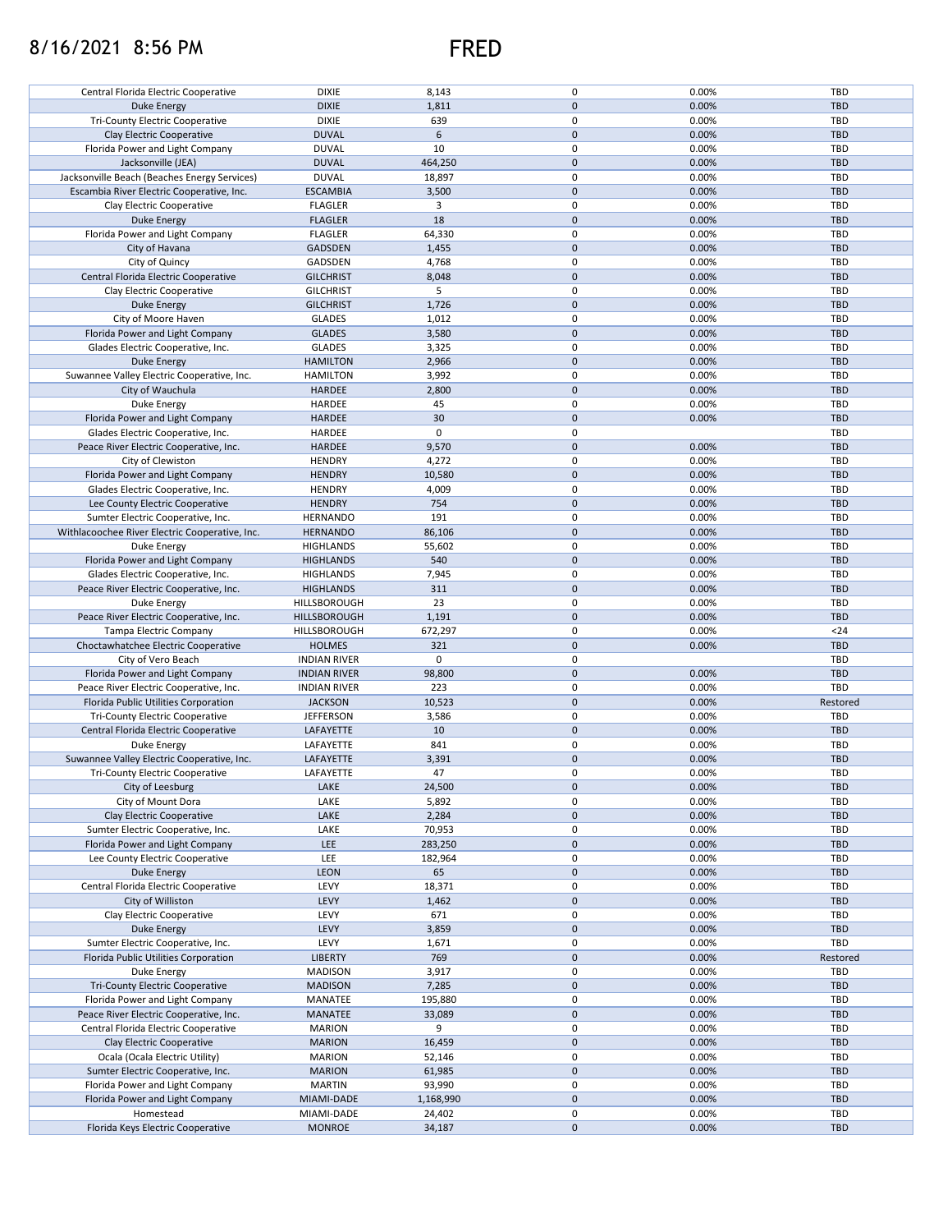## 8/16/2021 8:56 PM FRED



| Central Florida Electric Cooperative           | <b>DIXIE</b>        | 8,143       | 0            | 0.00% | TBD        |
|------------------------------------------------|---------------------|-------------|--------------|-------|------------|
| Duke Energy                                    | <b>DIXIE</b>        | 1,811       | $\mathbf 0$  | 0.00% | <b>TBD</b> |
| <b>Tri-County Electric Cooperative</b>         | <b>DIXIE</b>        | 639         | 0            | 0.00% | TBD        |
| Clay Electric Cooperative                      | <b>DUVAL</b>        | 6           | $\mathbf 0$  | 0.00% | <b>TBD</b> |
|                                                |                     |             |              |       |            |
| Florida Power and Light Company                | <b>DUVAL</b>        | 10          | $\mathbf 0$  | 0.00% | TBD        |
| Jacksonville (JEA)                             | <b>DUVAL</b>        | 464,250     | $\mathbf 0$  | 0.00% | <b>TBD</b> |
| Jacksonville Beach (Beaches Energy Services)   | <b>DUVAL</b>        | 18,897      | 0            | 0.00% | TBD        |
| Escambia River Electric Cooperative, Inc.      | <b>ESCAMBIA</b>     | 3,500       | $\mathbf 0$  | 0.00% | <b>TBD</b> |
|                                                |                     |             |              |       |            |
| Clay Electric Cooperative                      | <b>FLAGLER</b>      | 3           | 0            | 0.00% | TBD        |
| Duke Energy                                    | <b>FLAGLER</b>      | 18          | $\mathbf 0$  | 0.00% | <b>TBD</b> |
| Florida Power and Light Company                | <b>FLAGLER</b>      | 64,330      | 0            | 0.00% | TBD        |
| City of Havana                                 | <b>GADSDEN</b>      | 1,455       | $\mathbf{0}$ | 0.00% | <b>TBD</b> |
|                                                |                     |             |              |       |            |
| City of Quincy                                 | GADSDEN             | 4,768       | 0            | 0.00% | TBD        |
| Central Florida Electric Cooperative           | <b>GILCHRIST</b>    | 8,048       | $\mathbf{0}$ | 0.00% | <b>TBD</b> |
| Clay Electric Cooperative                      | <b>GILCHRIST</b>    | 5           | 0            | 0.00% | TBD        |
| Duke Energy                                    | <b>GILCHRIST</b>    | 1,726       | $\mathbf 0$  | 0.00% | <b>TBD</b> |
|                                                |                     |             |              |       |            |
| City of Moore Haven                            | <b>GLADES</b>       | 1,012       | $\mathbf 0$  | 0.00% | TBD        |
| Florida Power and Light Company                | <b>GLADES</b>       | 3,580       | $\mathbf 0$  | 0.00% | <b>TBD</b> |
| Glades Electric Cooperative, Inc.              | <b>GLADES</b>       | 3,325       | $\mathbf 0$  | 0.00% | TBD        |
| Duke Energy                                    | <b>HAMILTON</b>     | 2,966       | $\mathbf 0$  | 0.00% | <b>TBD</b> |
|                                                |                     |             |              |       |            |
| Suwannee Valley Electric Cooperative, Inc.     | <b>HAMILTON</b>     | 3,992       | $\mathbf 0$  | 0.00% | TBD        |
| City of Wauchula                               | HARDEE              | 2,800       | $\mathbf 0$  | 0.00% | <b>TBD</b> |
| Duke Energy                                    | HARDEE              | 45          | 0            | 0.00% | TBD        |
| Florida Power and Light Company                | HARDEE              | 30          | $\mathbf 0$  | 0.00% | <b>TBD</b> |
|                                                |                     |             |              |       |            |
| Glades Electric Cooperative, Inc.              | HARDEE              | $\mathbf 0$ | 0            |       | TBD        |
| Peace River Electric Cooperative, Inc.         | HARDEE              | 9,570       | $\mathbf 0$  | 0.00% | <b>TBD</b> |
| City of Clewiston                              | <b>HENDRY</b>       | 4,272       | 0            | 0.00% | TBD        |
| Florida Power and Light Company                | <b>HENDRY</b>       | 10,580      | $\mathbf 0$  | 0.00% | <b>TBD</b> |
|                                                |                     |             | 0            | 0.00% | TBD        |
| Glades Electric Cooperative, Inc.              | <b>HENDRY</b>       | 4,009       |              |       |            |
| Lee County Electric Cooperative                | <b>HENDRY</b>       | 754         | $\mathbf 0$  | 0.00% | <b>TBD</b> |
| Sumter Electric Cooperative, Inc.              | <b>HERNANDO</b>     | 191         | 0            | 0.00% | TBD        |
| Withlacoochee River Electric Cooperative, Inc. | <b>HERNANDO</b>     | 86,106      | $\mathbf 0$  | 0.00% | <b>TBD</b> |
|                                                |                     |             | 0            |       |            |
| Duke Energy                                    | <b>HIGHLANDS</b>    | 55,602      |              | 0.00% | TBD        |
| Florida Power and Light Company                | <b>HIGHLANDS</b>    | 540         | $\mathbf 0$  | 0.00% | <b>TBD</b> |
| Glades Electric Cooperative, Inc.              | <b>HIGHLANDS</b>    | 7,945       | 0            | 0.00% | TBD        |
| Peace River Electric Cooperative, Inc.         | <b>HIGHLANDS</b>    | 311         | $\mathbf 0$  | 0.00% | <b>TBD</b> |
|                                                |                     | 23          | 0            | 0.00% |            |
| Duke Energy                                    | HILLSBOROUGH        |             |              |       | TBD        |
| Peace River Electric Cooperative, Inc.         | HILLSBOROUGH        | 1,191       | $\mathbf 0$  | 0.00% | <b>TBD</b> |
| Tampa Electric Company                         | HILLSBOROUGH        | 672,297     | 0            | 0.00% | $24$       |
| Choctawhatchee Electric Cooperative            | <b>HOLMES</b>       | 321         | $\mathbf 0$  | 0.00% | <b>TBD</b> |
| City of Vero Beach                             | <b>INDIAN RIVER</b> | 0           | $\pmb{0}$    |       | TBD        |
|                                                |                     |             |              |       |            |
| Florida Power and Light Company                | <b>INDIAN RIVER</b> | 98,800      | $\mathbf 0$  | 0.00% | <b>TBD</b> |
| Peace River Electric Cooperative, Inc.         | <b>INDIAN RIVER</b> | 223         | $\mathbf 0$  | 0.00% | TBD        |
| Florida Public Utilities Corporation           | <b>JACKSON</b>      | 10,523      | $\mathbf 0$  | 0.00% | Restored   |
| <b>Tri-County Electric Cooperative</b>         | <b>JEFFERSON</b>    | 3,586       | 0            | 0.00% | TBD        |
|                                                |                     |             |              |       |            |
| Central Florida Electric Cooperative           | LAFAYETTE           | 10          | $\mathbf 0$  | 0.00% | <b>TBD</b> |
| Duke Energy                                    | LAFAYETTE           | 841         | 0            | 0.00% | TBD        |
| Suwannee Valley Electric Cooperative, Inc.     | LAFAYETTE           | 3,391       | $\mathbf 0$  | 0.00% | <b>TBD</b> |
| Tri-County Electric Cooperative                | LAFAYETTE           | 47          | $\mathbf 0$  | 0.00% | <b>TBD</b> |
|                                                |                     |             |              |       |            |
| City of Leesburg                               | LAKE                | 24,500      | $\mathbf 0$  | 0.00% | <b>TBD</b> |
| City of Mount Dora                             | LAKE                | 5,892       | 0            | 0.00% | TBD        |
| Clay Electric Cooperative                      | LAKE                | 2,284       | $\mathbf 0$  | 0.00% | <b>TBD</b> |
| Sumter Electric Cooperative, Inc.              | LAKE                | 70,953      | 0            | 0.00% | TBD        |
|                                                |                     |             |              |       |            |
| Florida Power and Light Company                | <b>LEE</b>          | 283,250     | $\mathbf 0$  | 0.00% | <b>TBD</b> |
| Lee County Electric Cooperative                | LEE                 | 182,964     | 0            | 0.00% | TBD        |
| Duke Energy                                    | LEON                | 65          | $\mathbf 0$  | 0.00% | <b>TBD</b> |
| Central Florida Electric Cooperative           | LEVY                | 18,371      | 0            | 0.00% | TBD        |
| City of Williston                              |                     |             | $\mathbf 0$  |       |            |
|                                                | LEVY                | 1,462       |              | 0.00% | <b>TBD</b> |
| Clay Electric Cooperative                      | LEVY                | 671         | 0            | 0.00% | TBD        |
| Duke Energy                                    | LEVY                | 3,859       | $\pmb{0}$    | 0.00% | TBD        |
| Sumter Electric Cooperative, Inc.              | LEVY                | 1,671       | 0            | 0.00% | TBD        |
| Florida Public Utilities Corporation           | <b>LIBERTY</b>      | 769         | $\mathbf 0$  | 0.00% | Restored   |
|                                                |                     |             |              |       |            |
| Duke Energy                                    | <b>MADISON</b>      | 3,917       | 0            | 0.00% | TBD        |
| <b>Tri-County Electric Cooperative</b>         | <b>MADISON</b>      | 7,285       | $\mathbf 0$  | 0.00% | <b>TBD</b> |
| Florida Power and Light Company                | MANATEE             | 195,880     | 0            | 0.00% | TBD        |
| Peace River Electric Cooperative, Inc.         | MANATEE             | 33,089      | $\pmb{0}$    | 0.00% | <b>TBD</b> |
|                                                |                     |             |              |       |            |
| Central Florida Electric Cooperative           | <b>MARION</b>       | 9           | $\pmb{0}$    | 0.00% | TBD        |
| Clay Electric Cooperative                      | <b>MARION</b>       | 16,459      | $\pmb{0}$    | 0.00% | TBD        |
| Ocala (Ocala Electric Utility)                 | <b>MARION</b>       | 52,146      | 0            | 0.00% | TBD        |
| Sumter Electric Cooperative, Inc.              | <b>MARION</b>       | 61,985      | $\mathbf 0$  | 0.00% | TBD        |
|                                                |                     |             |              |       |            |
| Florida Power and Light Company                | <b>MARTIN</b>       | 93,990      | 0            | 0.00% | TBD        |
| Florida Power and Light Company                | MIAMI-DADE          | 1,168,990   | $\mathbf 0$  | 0.00% | <b>TBD</b> |
| Homestead                                      | MIAMI-DADE          | 24,402      | 0            | 0.00% | TBD        |
| Florida Keys Electric Cooperative              | <b>MONROE</b>       | 34,187      | $\pmb{0}$    | 0.00% | <b>TBD</b> |
|                                                |                     |             |              |       |            |